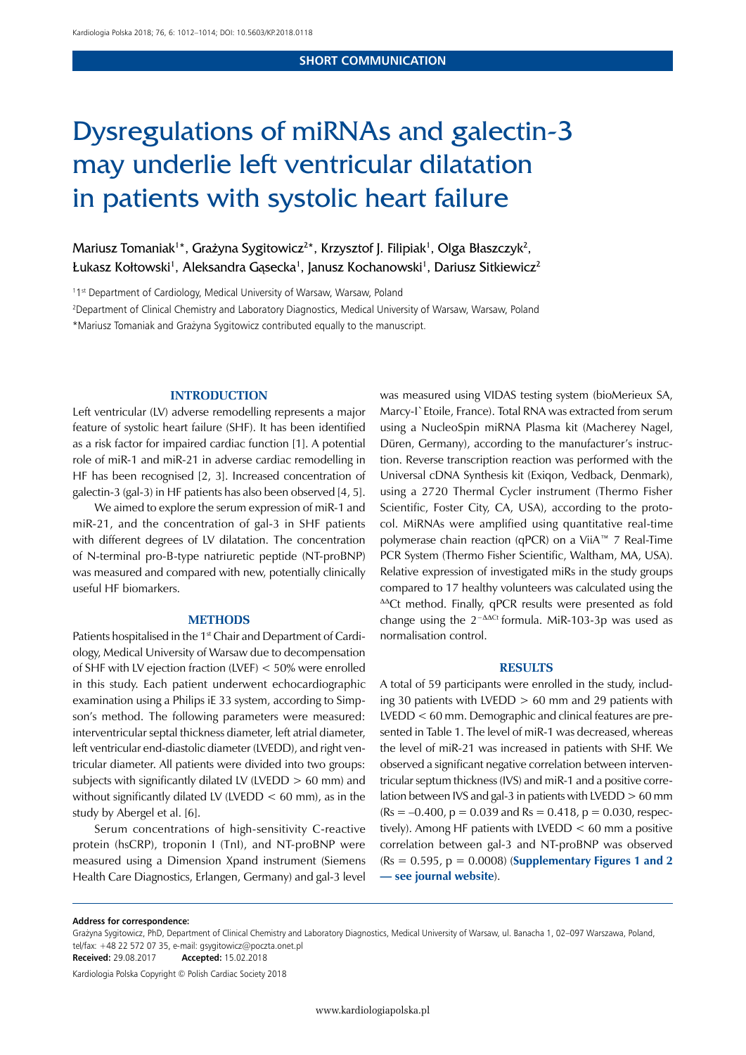# Dysregulations of miRNAs and galectin-3 may underlie left ventricular dilatation in patients with systolic heart failure

Mariusz Tomaniak<sup>1\*</sup>, Grażyna Sygitowicz<sup>2\*</sup>, Krzysztof J. Filipiak<sup>1</sup>, Olga Błaszczyk<sup>2</sup>, Łukasz Kołtowski $^{\rm I}$ , Aleksandra Gąsecka $^{\rm I}$ , Janusz Kochanowski $^{\rm I}$ , Dariusz Sitkiewicz $^{\rm Z}$ 

1 1st Department of Cardiology, Medical University of Warsaw, Warsaw, Poland

2 Department of Clinical Chemistry and Laboratory Diagnostics, Medical University of Warsaw, Warsaw, Poland

\*Mariusz Tomaniak and Grażyna Sygitowicz contributed equally to the manuscript.

## **INTRODUCTION**

Left ventricular (LV) adverse remodelling represents a major feature of systolic heart failure (SHF). It has been identified as a risk factor for impaired cardiac function [1]. A potential role of miR-1 and miR-21 in adverse cardiac remodelling in HF has been recognised [2, 3]. Increased concentration of galectin-3 (gal-3) in HF patients has also been observed [4, 5].

We aimed to explore the serum expression of miR-1 and miR-21, and the concentration of gal-3 in SHF patients with different degrees of LV dilatation. The concentration of N-terminal pro-B-type natriuretic peptide (NT-proBNP) was measured and compared with new, potentially clinically useful HF biomarkers.

#### **METHODS**

Patients hospitalised in the 1<sup>st</sup> Chair and Department of Cardiology, Medical University of Warsaw due to decompensation of SHF with LV ejection fraction (LVEF) < 50% were enrolled in this study. Each patient underwent echocardiographic examination using a Philips iE 33 system, according to Simpson's method. The following parameters were measured: interventricular septal thickness diameter, left atrial diameter, left ventricular end-diastolic diameter (LVEDD), and right ventricular diameter. All patients were divided into two groups: subjects with significantly dilated LV (LVEDD > 60 mm) and without significantly dilated LV (LVEDD  $<$  60 mm), as in the study by Abergel et al. [6].

Serum concentrations of high-sensitivity C-reactive protein (hsCRP), troponin I (TnI), and NT-proBNP were measured using a Dimension Xpand instrument (Siemens Health Care Diagnostics, Erlangen, Germany) and gal-3 level was measured using VIDAS testing system (bioMerieux SA, Marcy-I`Etoile, France). Total RNA was extracted from serum using a NucleoSpin miRNA Plasma kit (Macherey Nagel, Düren, Germany), according to the manufacturer's instruction. Reverse transcription reaction was performed with the Universal cDNA Synthesis kit (Exiqon, Vedback, Denmark), using a 2720 Thermal Cycler instrument (Thermo Fisher Scientific, Foster City, CA, USA), according to the protocol. MiRNAs were amplified using quantitative real-time polymerase chain reaction (qPCR) on a ViiA™ 7 Real-Time PCR System (Thermo Fisher Scientific, Waltham, MA, USA). Relative expression of investigated miRs in the study groups compared to 17 healthy volunteers was calculated using the  $\triangle$ <sup> $\triangle$ Ct method. Finally, qPCR results were presented as fold</sup> change using the 2<sup>-∆∆Ct</sup> formula. MiR-103-3p was used as normalisation control.

#### **RESULTS**

A total of 59 participants were enrolled in the study, including 30 patients with LVEDD  $> 60$  mm and 29 patients with LVEDD < 60 mm. Demographic and clinical features are presented in Table 1. The level of miR-1 was decreased, whereas the level of miR-21 was increased in patients with SHF. We observed a significant negative correlation between interventricular septum thickness (IVS) and miR-1 and a positive correlation between IVS and gal-3 in patients with LVEDD > 60 mm  $(Rs = -0.400, p = 0.039$  and  $Rs = 0.418$ ,  $p = 0.030$ , respectively). Among HF patients with LVEDD < 60 mm a positive correlation between gal-3 and NT-proBNP was observed (Rs = 0.595, p = 0.0008) (**[Supplementary Figures 1 and 2](https://ojs.kardiologiapolska.pl/kp/article/view/KP.2018.0118#supplementaryFiles) [— see journal website](https://ojs.kardiologiapolska.pl/kp/article/view/KP.2018.0118#supplementaryFiles)**).

**Address for correspondence:** 

**Received:** 29.08.2017 **Accepted:** 15.02.2018

Kardiologia Polska Copyright © Polish Cardiac Society 2018

Grażyna Sygitowicz, PhD, Department of Clinical Chemistry and Laboratory Diagnostics, Medical University of Warsaw, ul. Banacha 1, 02–097 Warszawa, Poland, tel/fax: +48 22 572 07 35, e-mail: gsygitowicz@poczta.onet.pl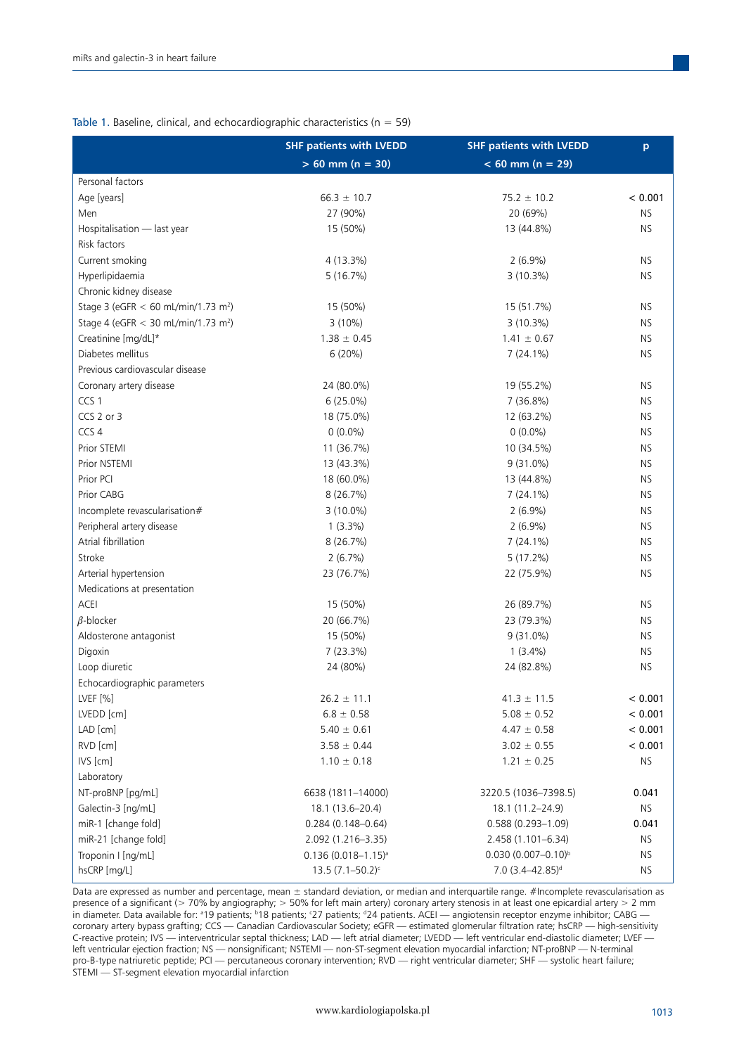| Table 1. Baseline, clinical, and echocardiographic characteristics ( $n = 59$ ) |  |  |
|---------------------------------------------------------------------------------|--|--|
|---------------------------------------------------------------------------------|--|--|

|                                                  | <b>SHF patients with LVEDD</b> | <b>SHF patients with LVEDD</b> | p                |
|--------------------------------------------------|--------------------------------|--------------------------------|------------------|
|                                                  | $> 60$ mm (n = 30)             | $< 60$ mm (n = 29)             |                  |
| Personal factors                                 |                                |                                |                  |
| Age [years]                                      | $66.3 \pm 10.7$                | $75.2 \pm 10.2$                | < 0.001          |
| Men                                              | 27 (90%)                       | 20 (69%)                       | <b>NS</b>        |
| Hospitalisation - last year                      | 15 (50%)                       | 13 (44.8%)                     | <b>NS</b>        |
| Risk factors                                     |                                |                                |                  |
| Current smoking                                  | 4 (13.3%)                      | $2(6.9\%)$                     | <b>NS</b>        |
| Hyperlipidaemia                                  | 5(16.7%)                       | $3(10.3\%)$                    | NS.              |
| Chronic kidney disease                           |                                |                                |                  |
| Stage 3 (eGFR < 60 mL/min/1.73 m <sup>2</sup> )  | 15 (50%)                       | 15 (51.7%)                     | <b>NS</b>        |
| Stage 4 (eGFR < 30 mL/min/1.73 m <sup>2</sup> )  | $3(10\%)$                      | $3(10.3\%)$                    | NS.              |
| Creatinine [mg/dL]*                              | $1.38 \pm 0.45$                | $1.41 \pm 0.67$                | <b>NS</b>        |
| Diabetes mellitus                                | 6(20%)                         | $7(24.1\%)$                    | NS.              |
| Previous cardiovascular disease                  |                                |                                |                  |
| Coronary artery disease                          | 24 (80.0%)                     | 19 (55.2%)                     | <b>NS</b>        |
| CCS <sub>1</sub>                                 | $6(25.0\%)$                    | 7 (36.8%)                      | NS.              |
| CCS 2 or 3                                       | 18 (75.0%)                     | 12 (63.2%)                     | <b>NS</b>        |
| CCS 4                                            | $0(0.0\%)$                     | $0(0.0\%)$                     | <b>NS</b>        |
| Prior STEMI                                      | 11 (36.7%)                     | 10 (34.5%)                     | <b>NS</b>        |
| Prior NSTEMI                                     | 13 (43.3%)                     | 9 (31.0%)                      | <b>NS</b>        |
| Prior PCI                                        | 18 (60.0%)                     | 13 (44.8%)                     | <b>NS</b>        |
| Prior CABG                                       | 8 (26.7%)                      | $7(24.1\%)$                    | <b>NS</b>        |
| Incomplete revascularisation#                    | $3(10.0\%)$                    | $2(6.9\%)$                     | <b>NS</b>        |
| Peripheral artery disease<br>Atrial fibrillation | $1(3.3\%)$                     | $2(6.9\%)$                     | <b>NS</b>        |
| Stroke                                           | 8 (26.7%)<br>$2(6.7\%)$        | $7(24.1\%)$<br>5(17.2%)        | <b>NS</b><br>NS. |
| Arterial hypertension                            | 23 (76.7%)                     | 22 (75.9%)                     | NS.              |
| Medications at presentation                      |                                |                                |                  |
| ACEI                                             | 15 (50%)                       | 26 (89.7%)                     | NS.              |
| $\beta$ -blocker                                 | 20 (66.7%)                     | 23 (79.3%)                     | NS.              |
| Aldosterone antagonist                           | 15 (50%)                       | $9(31.0\%)$                    | <b>NS</b>        |
| Digoxin                                          | 7 (23.3%)                      | $1(3.4\%)$                     | <b>NS</b>        |
| Loop diuretic                                    | 24 (80%)                       | 24 (82.8%)                     | <b>NS</b>        |
| Echocardiographic parameters                     |                                |                                |                  |
| LVEF [%]                                         | $26.2 \pm 11.1$                | $41.3 \pm 11.5$                | < 0.001          |
| LVEDD [cm]                                       | $6.8 \pm 0.58$                 | $5.08 \pm 0.52$                | < 0.001          |
| LAD [cm]                                         | $5.40 \pm 0.61$                | $4.47 \pm 0.58$                | < 0.001          |
| RVD [cm]                                         | $3.58 \pm 0.44$                | $3.02 \pm 0.55$                | < 0.001          |
| IVS [cm]                                         | $1.10 \pm 0.18$                | $1.21 \pm 0.25$                | <b>NS</b>        |
| Laboratory                                       |                                |                                |                  |
| NT-proBNP [pg/mL]                                | 6638 (1811-14000)              | 3220.5 (1036-7398.5)           | 0.041            |
| Galectin-3 [ng/mL]                               | 18.1 (13.6-20.4)               | 18.1 (11.2-24.9)               | <b>NS</b>        |
| miR-1 [change fold]                              | $0.284(0.148 - 0.64)$          | $0.588(0.293 - 1.09)$          | 0.041            |
| miR-21 [change fold]                             | 2.092 (1.216-3.35)             | 2.458 (1.101-6.34)             | <b>NS</b>        |
| Troponin I [ng/mL]                               | $0.136(0.018 - 1.15)^{a}$      | $0.030(0.007 - 0.10)^{b}$      | ΝS               |
| hsCRP [mg/L]                                     | $13.5(7.1 - 50.2)^c$           | 7.0 (3.4-42.85) <sup>d</sup>   | <b>NS</b>        |

Data are expressed as number and percentage, mean ± standard deviation, or median and interquartile range. #Incomplete revascularisation as presence of a significant (> 70% by angiography; > 50% for left main artery) coronary artery stenosis in at least one epicardial artery > 2 mm in diameter. Data available for: ª19 patients; ʰ18 patients; ˤ27 patients; ª24 patients. ACEI — angiotensin receptor enzyme inhibitor; CABG coronary artery bypass grafting; CCS — Canadian Cardiovascular Society; eGFR — estimated glomerular filtration rate; hsCRP — high-sensitivity C-reactive protein; IVS — interventricular septal thickness; LAD — left atrial diameter; LVEDD — left ventricular end-diastolic diameter; LVEF left ventricular ejection fraction; NS — nonsignificant; NSTEMI — non-ST-segment elevation myocardial infarction; NT-proBNP — N-terminal pro-B-type natriuretic peptide; PCI — percutaneous coronary intervention; RVD — right ventricular diameter; SHF — systolic heart failure; STEMI — ST-segment elevation myocardial infarction